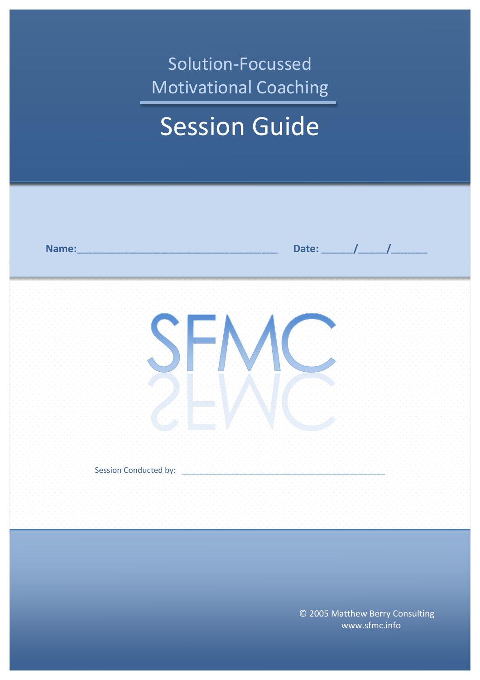# Solution-Focussed Motivational Coaching

# **Session Guide**



©.2005.Matthew.Berry.Consulting www.sfmc.info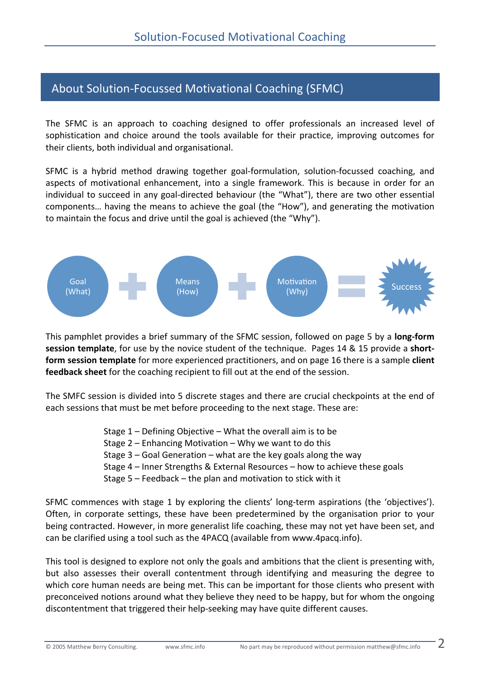# About Solution-Focussed Motivational Coaching (SFMC)

The. SFMC is an approach to coaching designed to offer professionals an increased level of. sophistication and choice around the tools available for their practice, improving outcomes for. their clients, both individual and organisational.

SFMC is a hybrid method drawing together goal-formulation, solution-focussed coaching, and aspects of motivational enhancement, into a single framework. This is because in order for an individual to succeed in any goal-directed behaviour (the "What"), there are two other essential components... having the means to achieve the goal (the "How"), and generating the motivation. to maintain the focus and drive until the goal is achieved (the "Why").



This.pamphlet.provides.a.brief.summary.of.the.SFMC.session,.followed.on.page.5.by.a.long-form **session template**, for use by the novice student of the technique. Pages 14 & 15 provide a shortform session template for more experienced practitioners, and on page 16 there is a sample client feedback sheet for the coaching recipient to fill out at the end of the session.

The. SMFC session is divided into 5 discrete stages and there are crucial checkpoints at the end of. each sessions that must be met before proceeding to the next stage. These are:

- Stage  $1$  Defining Objective What the overall aim is to be
- Stage  $2$  Enhancing Motivation Why we want to do this
- Stage  $3$  Goal Generation what are the key goals along the way
- Stage 4 Inner Strengths & External Resources how to achieve these goals
- Stage  $5$  Feedback the plan and motivation to stick with it

SFMC commences with stage 1 by exploring the clients' long-term aspirations (the 'objectives'). Often, in corporate settings, these have been predetermined by the organisation prior to your. being.contracted. However, in more generalist life coaching, these may not yet have been set, and. can be clarified using a tool such as the 4PACQ (available from www.4pacq.info).

This. tool. is designed to explore not only the goals and ambitions that the client is presenting with, but also assesses their overall contentment through identifying and measuring the degree to. which core human needs are being met. This can be important for those clients who present with. preconceived notions around what they believe they need to be happy, but for whom the ongoing discontentment that triggered their help-seeking may have quite different causes.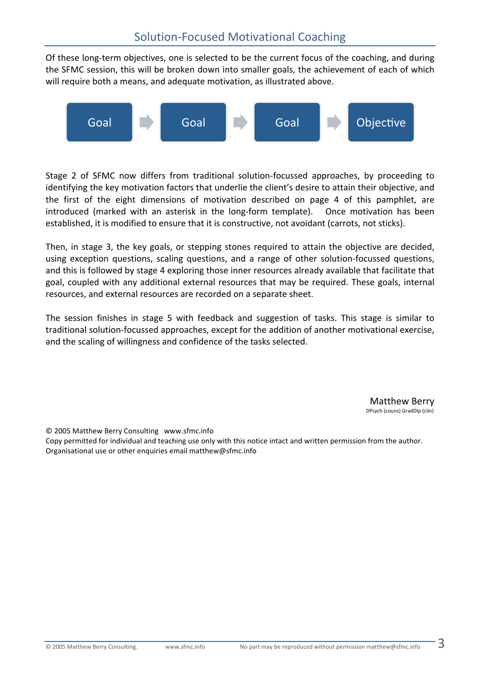Of these long-term objectives, one is selected to be the current focus of the coaching, and during the.SFMC session, this will be broken down into smaller goals, the achievement of each of which. will require both a means, and adequate motivation, as illustrated above.



Stage 2 of SFMC now differs from traditional solution-focussed approaches, by proceeding to identifying the key motivation factors that underlie the client's desire to attain their objective, and. the first of the eight dimensions of motivation described on page 4 of this pamphlet, are. introduced (marked with an asterisk in the long-form template). Once motivation has been. established, it is modified to ensure that it is constructive, not avoidant (carrots, not sticks).

Then, in stage 3, the key goals, or stepping stones required to attain the objective are decided, using exception questions, scaling questions, and a range of other solution-focussed questions, and this is followed by stage 4 exploring those inner resources already available that facilitate that. goal, coupled with any additional external resources that may be required. These goals, internal resources, and external resources are recorded on a separate sheet.

The session finishes in stage 5 with. feedback and suggestion of tasks. This stage is similar to. traditional solution-focussed approaches, except for the addition of another motivational exercise, and the scaling of willingness and confidence of the tasks selected.

> Matthew.Berry DPsych (couns) GradDIp (clin)

© 2005 Matthew Berry Consulting www.sfmc.info

Copy permitted for individual and teaching use only with this notice intact and written permission from the author. Organisational use or other enquiries email matthew@sfmc.info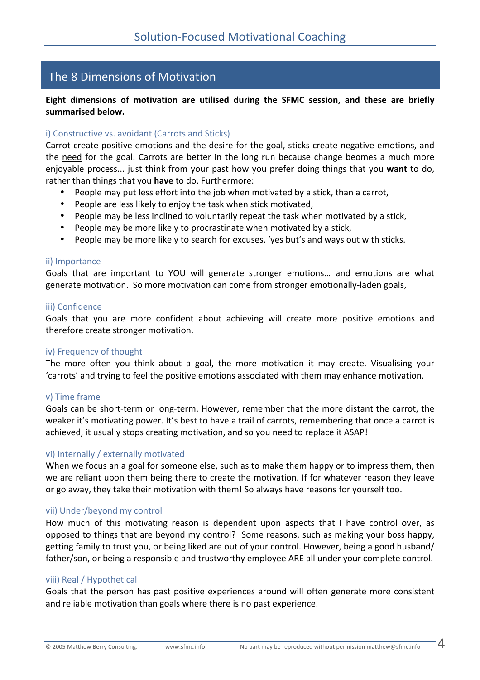# The 8 Dimensions of Motivation

# Eight dimensions of motivation are utilised during the SFMC session, and these are briefly **summarised!below.**

#### i) Constructive vs. avoidant (Carrots and Sticks)

Carrot create positive emotions and the desire for the goal, sticks create negative emotions, and the need for the goal. Carrots are better in the long run because change beomes a much more. enjoyable process... just think from your past how you prefer doing things that you want to do, rather than things that you have to do. Furthermore:

- People.may put less effort into the job when motivated by a stick, than a carrot,
- People are less likely to enjoy the task when stick motivated,
- People may be less inclined to voluntarily repeat the task when motivated by a stick,
- People may be more likely to procrastinate when motivated by a stick,
- People may be more likely to search for excuses, 'yes but's and ways out with sticks.

#### ii) Importance

Goals that are important to YOU will generate stronger emotions... and emotions are what. generate motivation. So more motivation can come from stronger emotionally-laden goals,

#### iii) Confidence

Goals that you are more confident about achieving will create more positive emotions and therefore create stronger motivation.

#### iv) Frequency of thought

The more often you think about a goal, the more motivation it may create. Visualising your. 'carrots' and trying to feel the positive emotions associated with them may enhance motivation.

#### v) Time frame

Goals can be short-term or long-term. However, remember that the more distant the carrot, the. weaker it's motivating power. It's best to have a trail of carrots, remembering that once a carrot is achieved, it usually stops creating motivation, and so you need to replace it ASAP!

#### vi) Internally / externally motivated

When we focus an a goal for someone else, such as to make them happy or to impress them, then. we are reliant upon them being there to create the motivation. If for whatever reason they leave. or.go.away, they.take.their.motivation.with.them! So.always.have.reasons.for.yourself.too.

#### vii) Under/beyond my control

How. much. of. this. motivating. reason. is. dependent. upon. aspects. that. I. have. control. over, as. opposed to things that are beyond my control? Some reasons, such as making your boss happy, getting family to trust you, or being liked are out of your control. However, being a good husband/ father/son, or being a responsible and trustworthy employee ARE all under your complete control.

#### viii).Real / Hypothetical

Goals that the person has past positive experiences around will often generate more consistent. and reliable motivation than goals where there is no past experience.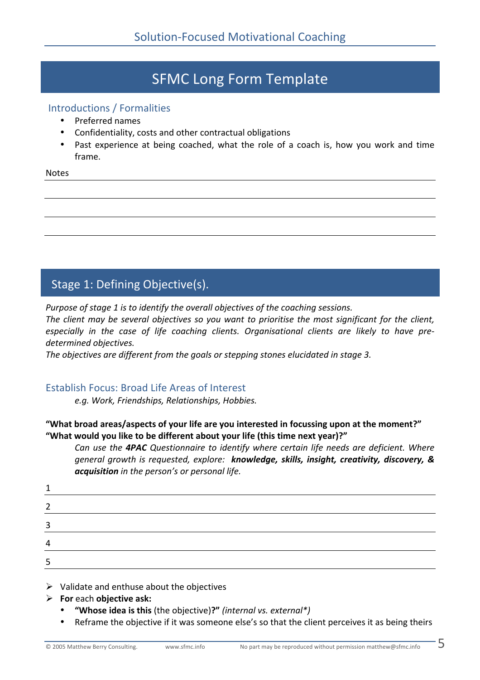# **SFMC Long Form Template**

# Introductions / Formalities

- Preferred names
- Confidentiality, costs and other contractual obligations
- Past. experience at being. coached, what the role of a coach is, how you. work and time. frame.

**Notes** 

# Stage 1: Defining Objective(s).

*Purpose of stage 1 is to identify the overall objectives of the coaching sessions.* 

*The client may be several objectives so you want to prioritise the most significant for the client,* especially in the case of life coaching clients. Organisational clients are likely to have pre $determined$  objectives.

*The objectives are different from the goals or stepping stones elucidated in stage 3.* 

# Establish.Focus:.Broad.Life Areas.of.Interest

*e.g.(Work,(Friendships,(Relationships,(Hobbies.*

# "What broad areas/aspects of your life are you interested in focussing upon at the moment?" "What would you like to be different about your life (this time next year)?"

*Can use the 4PAC Questionnaire to identify where certain life needs are deficient. Where general growth is requested, explore: knowledge, skills, insight, creativity, discovery, &. acquisition* in the person's or personal life.

| 2 |  |  |
|---|--|--|
| 3 |  |  |
| 4 |  |  |
| 5 |  |  |

 $\triangleright$  Validate and enthuse about the objectives

- **For!**each**!objective!ask:**
	- "Whose idea is this (the objective)?" (internal vs. external\*)
	- Reframe the objective if it was someone else's so that the client perceives it as being theirs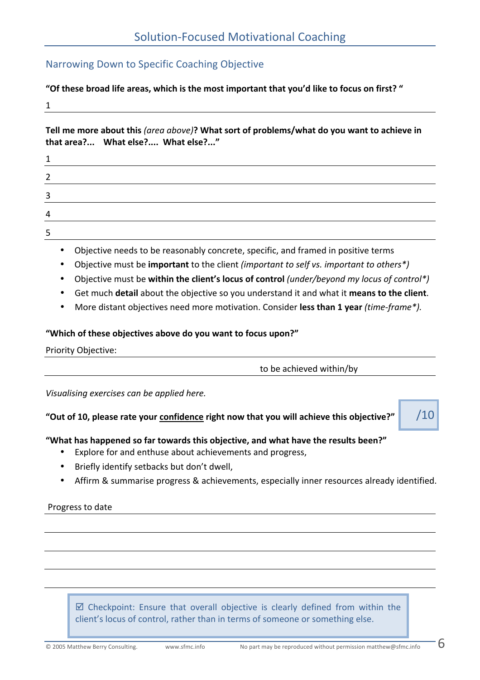# Narrowing Down to Specific Coaching Objective

"Of these broad life areas, which is the most important that you'd like to focus on first? "

1.

Tell me more about this *(area above)*? What sort of problems/what do you want to achieve in **that!area?...!!!!What!else?....! What!else?..."**

| 3      |  |  |  |
|--------|--|--|--|
| Д      |  |  |  |
| ∽<br>- |  |  |  |

- Objective needs to be reasonably concrete, specific, and framed in positive terms
- Objective must be **important** to the client *(important to self vs. important to others\*)*
- Objective must be within the client's locus of control *(under/beyond my locus of control\*)*
- Get much **detail** about the objective so you understand it and what it means to the client.
- More distant objectives need more motivation. Consider less than 1 year *(time-frame\*).*

# "Which of these objectives above do you want to focus upon?"

Priority Objective:

to be achieved within/by

*Visualising exercises can be applied here.* 

# "Out of 10, please rate your **confidence right now that you will achieve this objective?"**

"What has happened so far towards this objective, and what have the results been?"

- Explore for and enthuse about achievements and progress,
- Briefly identify setbacks but don't dwell,
- Affirm & summarise progress & achievements, especially inner resources already identified.

# Progress to date

 $\boxtimes$  Checkpoint: Ensure that overall objective is clearly defined from within the. client's locus of control, rather than in terms of someone or something else.

 $/10$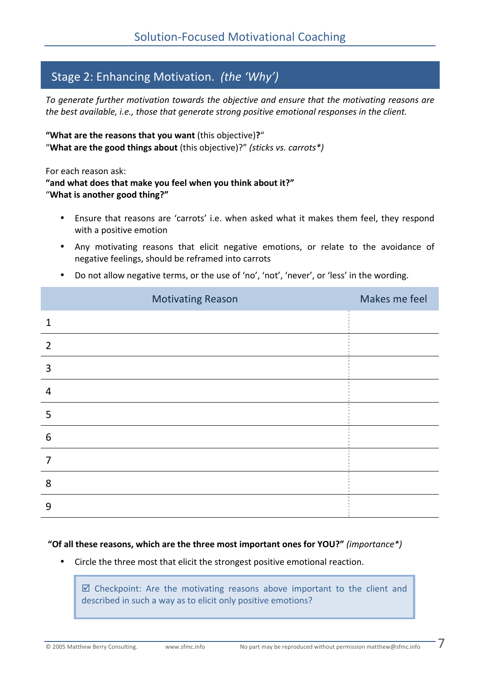# Stage 2: Enhancing Motivation. *(the 'Why')*

To generate further motivation towards the objective and ensure that the motivating reasons are *the best available, i.e., those that generate strong positive emotional responses in the client.* 

"What are the reasons that you want (this objective)?" "What are the good things about (this objective)?" *(sticks vs. carrots\*)* 

For each reason ask:

"and what does that make you feel when you think about it?" "What is another good thing?"

- Ensure that reasons are 'carrots' i.e. when asked what it makes them feel, they respond. with a positive emotion
- Any motivating reasons that elicit negative emotions, or relate to the avoidance of negative feelings, should be reframed into carrots
- Do.not allow negative terms, or the use of 'no', 'not', 'never', or 'less' in the wording.

|                | <b>Motivating Reason</b> | Makes me feel |
|----------------|--------------------------|---------------|
| $\mathbf{1}$   |                          |               |
| $\overline{2}$ |                          |               |
| 3              |                          |               |
| $\overline{4}$ |                          |               |
| 5              |                          |               |
| 6              |                          |               |
| 7              |                          |               |
| 8              |                          |               |
| 9              |                          |               |

# "Of all these reasons, which are the three most important ones for YOU?" *(importance\*)*

• Circle the three most that elicit the strongest positive emotional reaction.

 $\boxtimes$  Checkpoint: Are the motivating reasons above important to the client and. described in such a way as to elicit only positive emotions?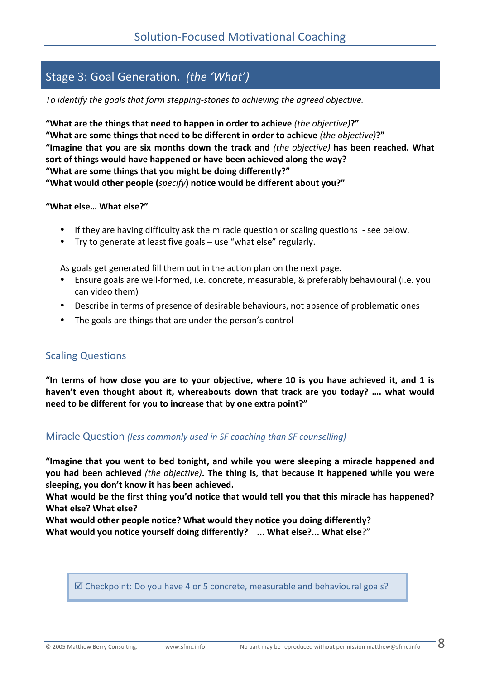# Stage 3: Goal Generation. *(the 'What')*

*To identify the goals that form stepping-stones to achieving the agreed objective.* 

"What are the things that need to happen in order to achieve (*the objective*)?" "What are some things that need to be different in order to achieve (the objective)?" "Imagine that you are six months down the track and *(the objective)* has been reached. What sort of things would have happened or have been achieved along the way? "What are some things that you might be doing differently?" "What would other people (*specify*) notice would be different about you?"

#### **"What!else…!What!else?"**

- If they are having difficulty ask the miracle question or scaling questions see below.
- Try to generate at least five goals use "what else" regularly.

As goals get generated fill them out in the action plan on the next page.

- Ensure goals are well-formed, i.e. concrete, measurable, & preferably behavioural (i.e. you. can video them)
- Describe in terms of presence of desirable behaviours, not absence of problematic ones
- The goals are things that are under the person's control

# Scaling.Questions

"In terms of how close you are to your objective, where 10 is you have achieved it, and 1 is haven't even thought about it, whereabouts down that track are you today? .... what would **need to be different for you to increase that by one extra point?"** 

# Miracle Question *(less commonly used in SF coaching than SF counselling)*

"Imagine that you went to bed tonight, and while you were sleeping a miracle happened and you had been achieved (the objective). The thing is, that because it happened while you were sleeping, you don't know it has been achieved.

What would be the first thing you'd notice that would tell you that this miracle has happened? What else? What else?

What would other people notice? What would they notice you doing differently? **What would you notice yourself doing differently?** ... What else?... What else?"

 $\boxtimes$  Checkpoint: Do you have 4 or 5 concrete, measurable and behavioural goals?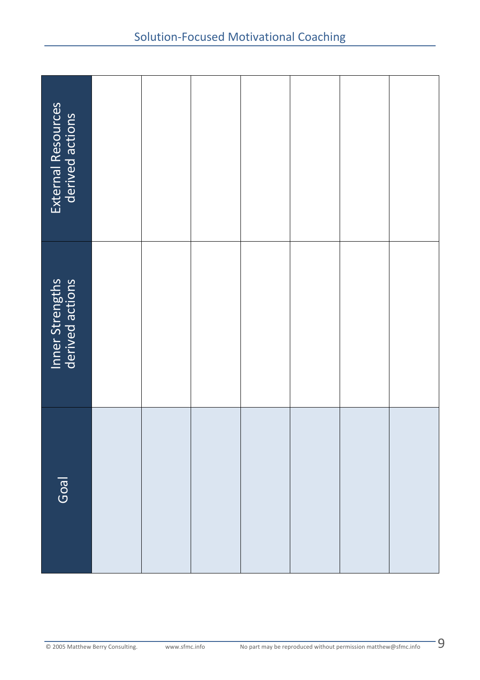| External Resources                                                                                                       |  |  |  |  |  |  |  |
|--------------------------------------------------------------------------------------------------------------------------|--|--|--|--|--|--|--|
| Inner Strengths                                                                                                          |  |  |  |  |  |  |  |
| Goal                                                                                                                     |  |  |  |  |  |  |  |
| 9<br>www.sfmc.info<br>No part may be reproduced without permission matthew@sfmc.info<br>© 2005 Matthew Berry Consulting. |  |  |  |  |  |  |  |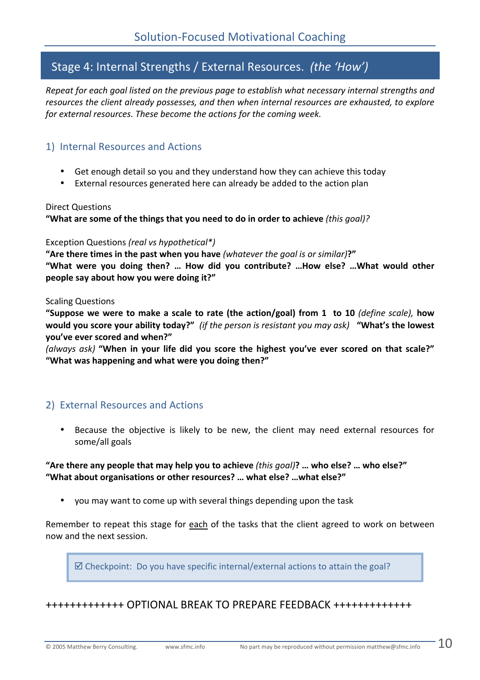# Stage 4: Internal Strengths / External Resources. *(the 'How')*

*Repeat for each goal listed on the previous page to establish what necessary internal strengths and* resources the client already possesses, and then when internal resources are exhausted, to explore for external resources. These become the actions for the coming week.

# 1). Internal Resources and Actions.

- Get enough detail so you and they understand how they can achieve this today
- External resources generated here can already be added to the action plan.

#### Direct Questions

"What are some of the things that you need to do in order to achieve *(this qoal)?* 

# Exception Questions *(real vs hypothetical\*)*

"Are there times in the past when you have (whatever the goal is or similar)?" "What were you doing then? ... How did you contribute? ...How else? ...What would other people say about how you were doing it?"

#### Scaling.Questions

"Suppose we were to make a scale to rate (the action/goal) from 1 to 10 *(define scale)*, how **would you score your ability today?"** (if the person is resistant you may ask) **"What's the lowest you've!ever!scored!and!when?"**

*(always ask)* "When in your life did you score the highest you've ever scored on that scale?" "What was happening and what were you doing then?"

# 2). External Resources and Actions.

Because the objective is likely to be new, the client may need external resources for. some/all goals

"Are there any people that may help you to achieve (this goal)? ... who else? ... who else?" "What about organisations or other resources? ... what else? ... what else?"

• vou may want to come up with several things depending upon the task

Remember to. repeat this stage for each of the tasks that the client agreed to work on between. now and the next session.

 $\boxtimes$  Checkpoint: Do you have specific internal/external actions to attain the goal?

+++++++++++++.OPTIONAL.BREAK.TO.PREPARE.FEEDBACK.+++++++++++++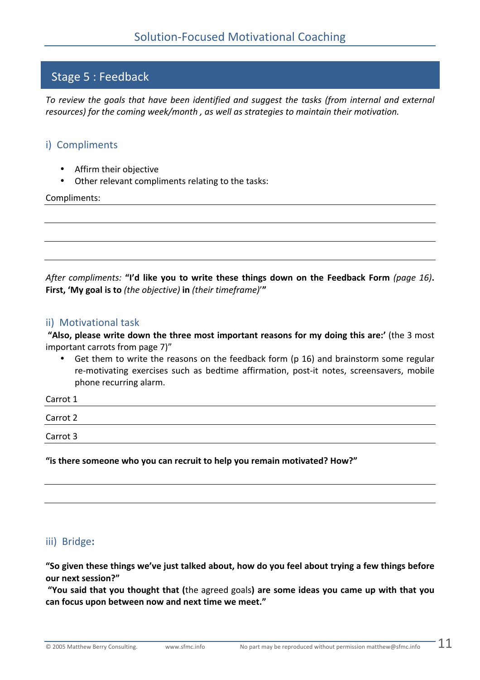# Stage 5: Feedback

*To review the goals that have been identified and suggest the tasks (from internal and external* resources) for the coming week/month, as well as strategies to maintain their motivation.

# i) Compliments

- Affirm their objective
- Other relevant compliments relating to the tasks:

Compliments:

*After compliments:* "I'd like you to write these things down on the Feedback Form (page 16). **First, 'My goal is to** (the objective) in (their timeframe)'"

# ii) Motivational task

"Also, please write down the three most important reasons for my doing this are:' (the 3 most important carrots from page 7)"

• Get them to write the reasons on the feedback form (p.16) and brainstorm some regular. re-motivating exercises such as bedtime affirmation, post-it notes, screensavers, mobile phone recurring alarm.

| Carrot 1 |  |  |  |
|----------|--|--|--|
| Carrot 2 |  |  |  |
| Carrot 3 |  |  |  |
|          |  |  |  |

"is there someone who you can recruit to help you remain motivated? How?"

# iii)**!!**Bridge**:**

"So given these things we've just talked about, how do you feel about trying a few things before **our!next!session?"**

"You said that you thought that (the agreed goals) are some ideas you came up with that you can focus upon between now and next time we meet."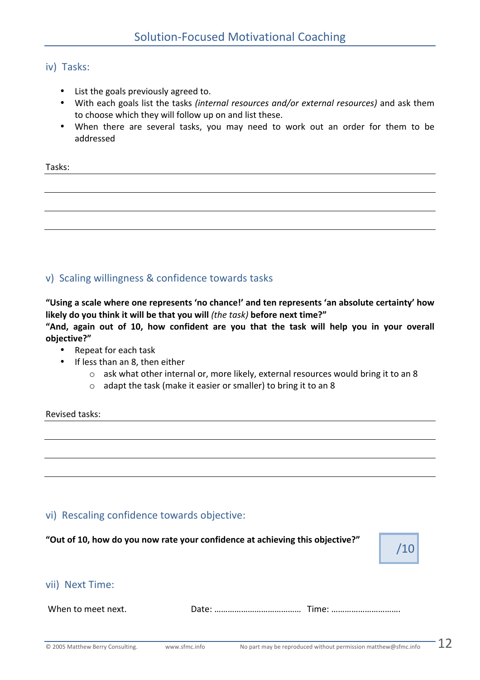# iv) Tasks:

- List the goals previously agreed to.
- With each goals list the tasks *(internal resources and/or external resources)* and ask them. to choose which they will follow up on and list these.
- When there are several tasks, you may need to work out an order for them to be. addressed

| Tasks: |  |  |  |
|--------|--|--|--|
|        |  |  |  |
|        |  |  |  |

# v). Scaling willingness & confidence towards tasks

"Using a scale where one represents 'no chance!' and ten represents 'an absolute certainty' how **likely do you think it will be that you will** *(the task)* **before next time?"** "And, again out of 10, how confident are you that the task will help you in your overall **objective?"**

- Repeat for each task
- If less than an 8, then either
	- $\circ$  ask what other internal or, more likely, external resources would bring it to an 8
	- $\circ$  adapt the task (make it easier or smaller) to bring it to an 8

Revised tasks:

# vi). Rescaling confidence towards objective:

"Out of 10, how do you now rate your confidence at achieving this objective?"



# vii). Next Time:

When.to.meet.next. Date:.………………………………… Time:.………………………….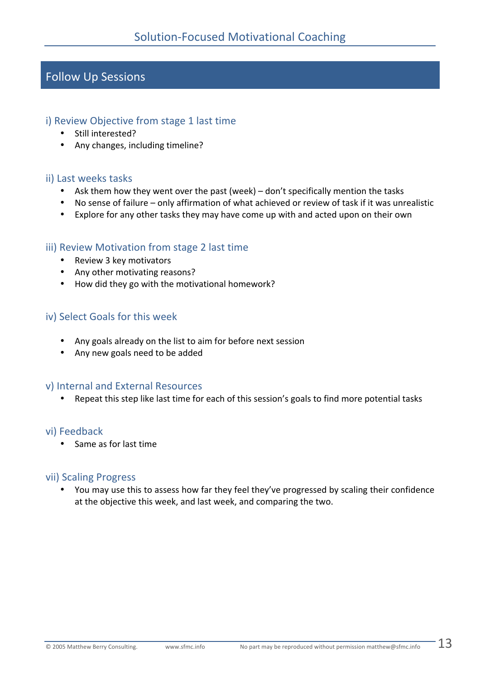# Follow Up Sessions

# i). Review. Objective from stage 1 last time

- Still interested?
- Any changes, including timeline?

# ii) Last weeks tasks

- Ask them how they went over the past (week) don't specifically mention the tasks
- No sense of failure only affirmation of what achieved or review of task if it was unrealistic
- Explore for any other tasks they may have come up with and acted upon on their own

# iii) Review Motivation from stage 2 last time

- Review 3 key motivators
- Any other motivating reasons?
- How did they go with the motivational homework?

# iv) Select Goals for this week

- Any goals already on the list to aim for before next session
- Any new goals need to be added

# v). Internal and External Resources

Repeat this step.like.last.time.for.each.of.this.session's goals.to.find.more.potential.tasks.

# vi).Feedback

• Same as for last time

# vii) Scaling Progress

• You may use this to assess how far they feel they've progressed by scaling their confidence at the objective this week, and last week, and comparing the two.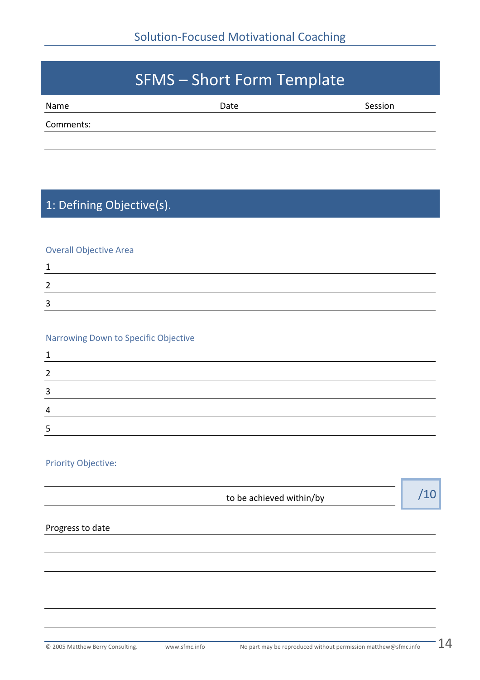# SFMS-Short Form Template Name Session Comments:

# 1: Defining Objective(s).

# **Overall Objective Area**

# Narrowing Down to Specific Objective

# Priority Objective:

| to be achieved within/by |  |
|--------------------------|--|
|                          |  |

# Progress to date

\_\_

÷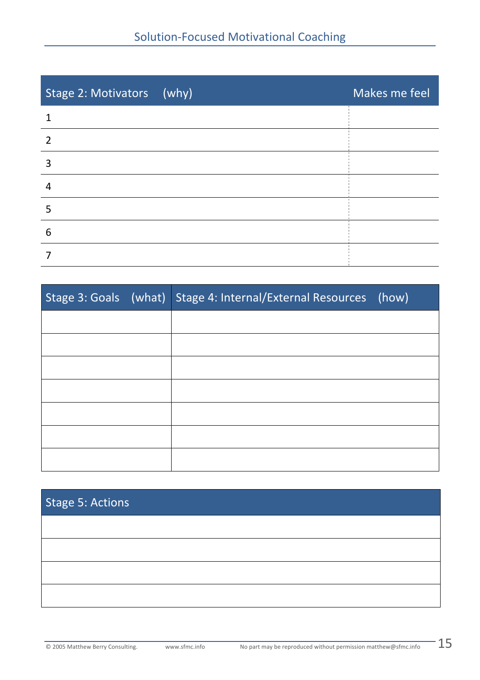| Stage 2: Motivators (why) | Makes me feel |
|---------------------------|---------------|
|                           |               |
| $\overline{2}$            |               |
| 3                         |               |
| 4                         |               |
| 5                         |               |
| 6                         |               |
|                           |               |

|  | Stage 3: Goals (what) Stage 4: Internal/External Resources (how) |  |
|--|------------------------------------------------------------------|--|
|  |                                                                  |  |
|  |                                                                  |  |
|  |                                                                  |  |
|  |                                                                  |  |
|  |                                                                  |  |
|  |                                                                  |  |
|  |                                                                  |  |

# Stage 5: Actions